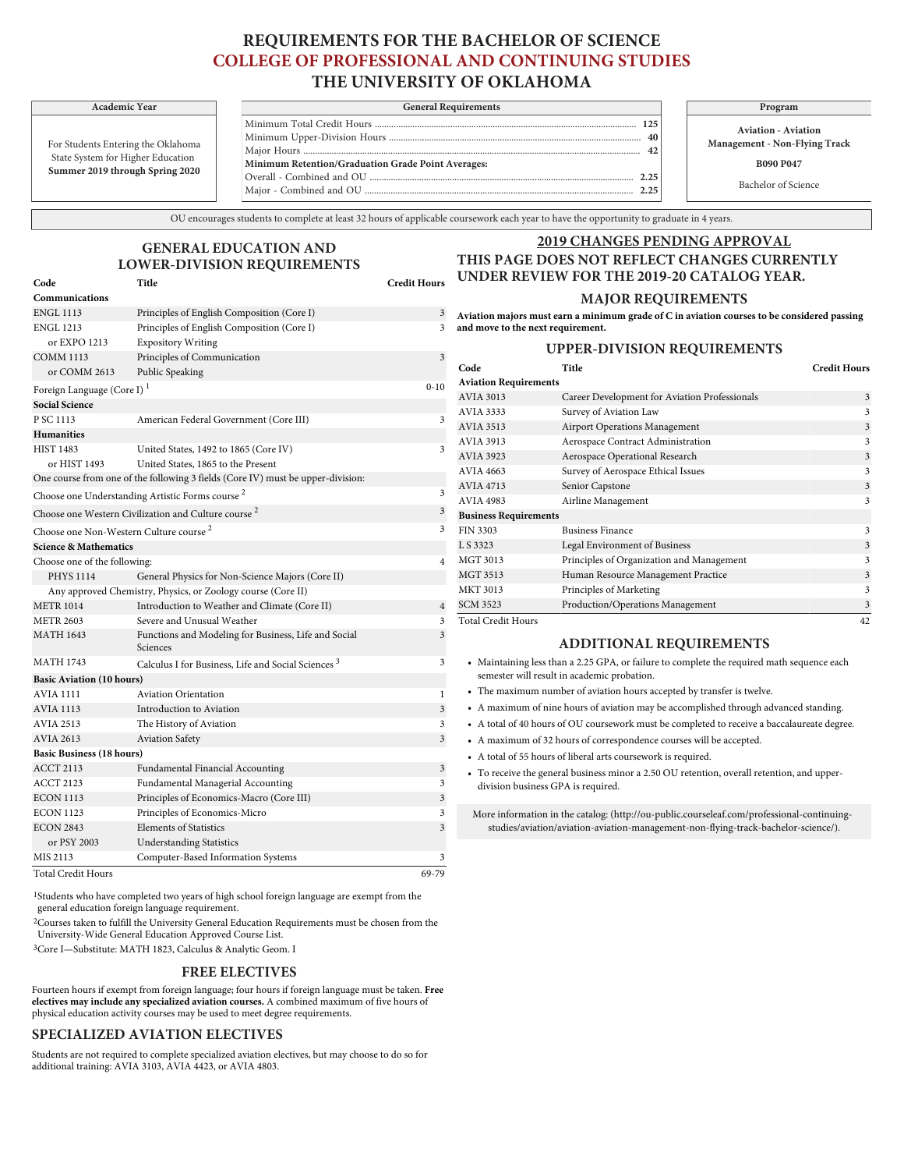# **REQUIREMENTS FOR THE BACHELOR OF SCIENCE COLLEGE OF PROFESSIONAL AND CONTINUING STUDIES THE UNIVERSITY OF OKLAHOMA**

For Students Entering the Oklahoma State System for Higher Education **Summer 2019 through Spring 2020**

**Communications**

| Academic Year                                        | <b>General Requirements</b>                        | Program                                     |
|------------------------------------------------------|----------------------------------------------------|---------------------------------------------|
| nts Entering the Oklahoma<br>em for Higher Education |                                                    | <b>Aviation - Avi</b><br>Management - Non-l |
|                                                      | Minimum Retention/Graduation Grade Point Averages: | <b>B090 P04</b>                             |
| 019 through Spring 2020                              |                                                    | Bachelor of Sc                              |

**Aviation - Aviation Management - Non-Flying Track B090 P047**

Bachelor of Science

OU encourages students to complete at least 32 hours of applicable coursework each year to have the opportunity to graduate in 4 years.

### **2019 CHANGES PENDING APPROVAL**

#### **Code Title Credit Hours THIS PAGE DOES NOT REFLECT CHANGES CURRENTLY UNDER REVIEW FOR THE 2019-20 CATALOG YEAR.**

#### **MAJOR REQUIREMENTS**

ENGL 1113 Principles of English Composition (Core I) 3 ENGL 1213 Principles of English Composition (Core I) 3 **Aviation majors must earn a minimum grade of C in aviation courses to be considered passing and move to the next requirement.**

## **PER-DIVISION REQUIREMENTS**

| or EXPO 1213                                                    | <b>Expository Writing</b>                                                       |                |                              | <b>UPF</b>     |
|-----------------------------------------------------------------|---------------------------------------------------------------------------------|----------------|------------------------------|----------------|
| <b>COMM 1113</b>                                                | Principles of Communication                                                     | 3              | Code                         | Ti             |
| or COMM 2613                                                    | Public Speaking                                                                 |                | <b>Aviation Requirements</b> |                |
| Foreign Language (Core I) <sup>1</sup>                          |                                                                                 | $0 - 10$       | <b>AVIA 3013</b>             | C <sub>i</sub> |
| <b>Social Science</b>                                           |                                                                                 |                | AVIA 3333                    | Su             |
| P SC 1113                                                       | American Federal Government (Core III)                                          | 3              | <b>AVIA 3513</b>             | Ai             |
| <b>Humanities</b>                                               |                                                                                 |                | AVIA 3913                    | Aο             |
| <b>HIST 1483</b>                                                | United States, 1492 to 1865 (Core IV)                                           | 3              | AVIA 3923                    | A              |
| or HIST 1493                                                    | United States, 1865 to the Present                                              |                | <b>AVIA 4663</b>             | Su             |
|                                                                 | One course from one of the following 3 fields (Core IV) must be upper-division: |                | <b>AVIA 4713</b>             | Se             |
|                                                                 | Choose one Understanding Artistic Forms course <sup>2</sup>                     | 3              | <b>AVIA 4983</b>             | Ai             |
| Choose one Western Civilization and Culture course <sup>2</sup> |                                                                                 |                | <b>Business Requirements</b> |                |
|                                                                 | Choose one Non-Western Culture course <sup>2</sup>                              | 3              | <b>FIN 3303</b>              | Bu             |
| <b>Science &amp; Mathematics</b>                                |                                                                                 |                | L S 3323                     | Le             |
| Choose one of the following:                                    |                                                                                 | $\overline{4}$ | MGT 3013                     | Pr             |
| <b>PHYS 1114</b>                                                | General Physics for Non-Science Majors (Core II)                                |                | MGT 3513                     | $H_1$          |
|                                                                 | Any approved Chemistry, Physics, or Zoology course (Core II)                    |                | <b>MKT 3013</b>              | Pr             |
| <b>METR 1014</b>                                                | Introduction to Weather and Climate (Core II)                                   | $\overline{4}$ | <b>SCM 3523</b>              | Pr             |
| <b>METR 2603</b>                                                | Severe and Unusual Weather                                                      | 3              | <b>Total Credit Hours</b>    |                |
| <b>MATH 1643</b>                                                | Functions and Modeling for Business, Life and Social<br>Sciences                | 3              |                              | $\mathbf{A}$   |
| <b>MATH 1743</b>                                                | Calculus I for Business, Life and Social Sciences <sup>3</sup>                  | 3              | • Maintaining less than a    |                |
| <b>Basic Aviation (10 hours)</b>                                |                                                                                 |                | semester will result in      |                |
| <b>AVIA 1111</b>                                                | <b>Aviation Orientation</b>                                                     | $\mathbf{1}$   | • The maximum numbe          |                |
| <b>AVIA 1113</b>                                                | Introduction to Aviation                                                        | $\overline{3}$ | • A maximum of nine ho       |                |
| <b>AVIA 2513</b>                                                | The History of Aviation                                                         | 3              | • A total of 40 hours of 0   |                |
| <b>AVIA 2613</b>                                                | <b>Aviation Safety</b>                                                          | $\overline{3}$ | • A maximum of 32 hou        |                |
| <b>Basic Business (18 hours)</b>                                |                                                                                 |                | • A total of 55 hours of l   |                |
| <b>ACCT 2113</b>                                                | Fundamental Financial Accounting                                                | 3              | • To receive the general     |                |
| <b>ACCT 2123</b>                                                | Fundamental Managerial Accounting                                               | 3              | division business GPA        |                |
| <b>ECON 1113</b>                                                | Principles of Economics-Macro (Core III)                                        | 3              |                              |                |
| <b>ECON 1123</b>                                                | Principles of Economics-Micro                                                   | 3              | More information in the      |                |
| <b>ECON 2843</b>                                                | <b>Elements of Statistics</b>                                                   | 3              | studies/aviation/avia        |                |
| or PSY 2003                                                     | <b>Understanding Statistics</b>                                                 |                |                              |                |
| MIS 2113                                                        | Computer-Based Information Systems                                              | 3              |                              |                |
| Total Credit Hours                                              |                                                                                 | 69-79          |                              |                |

**GENERAL EDUCATION AND LOWER-DIVISION REQUIREMENTS**

1Students who have completed two years of high school foreign language are exempt from the general education foreign language requirement.

2Courses taken to fulfill the University General Education Requirements must be chosen from the [University-Wide General Education Approved Course List](http://www.ou.edu/gened/courses/).

3Core I—Substitute: MATH 1823, Calculus & Analytic Geom. I

#### **FREE ELECTIVES**

Fourteen hours if exempt from foreign language; four hours if foreign language must be taken. **Free electives may include any specialized aviation courses.** A combined maximum of five hours of physical education activity courses may be used to meet degree requirements.

#### **SPECIALIZED AVIATION ELECTIVES**

Students are not required to complete specialized aviation electives, but may choose to do so for additional training: AVIA 3103, AVIA 4423, or AVIA 4803.

| Code                         | Title                                         | <b>Credit Hours</b> |
|------------------------------|-----------------------------------------------|---------------------|
| <b>Aviation Requirements</b> |                                               |                     |
| AVIA 3013                    | Career Development for Aviation Professionals | 3                   |
| AVIA 3333                    | Survey of Aviation Law                        | 3                   |
| <b>AVIA 3513</b>             | <b>Airport Operations Management</b>          | 3                   |
| AVIA 3913                    | Aerospace Contract Administration             | 3                   |
| <b>AVIA 3923</b>             | Aerospace Operational Research                | 3                   |
| <b>AVIA 4663</b>             | Survey of Aerospace Ethical Issues            | 3                   |
| <b>AVIA 4713</b>             | Senior Capstone                               | 3                   |
| AVIA 4983                    | Airline Management                            | 3                   |
| <b>Business Requirements</b> |                                               |                     |
| FIN 3303                     | <b>Business Finance</b>                       | 3                   |
| L S 3323                     | Legal Environment of Business                 | 3                   |
| <b>MGT 3013</b>              | Principles of Organization and Management     | 3                   |
| <b>MGT 3513</b>              | Human Resource Management Practice            | 3                   |
| <b>MKT 3013</b>              | Principles of Marketing                       | 3                   |
| <b>SCM 3523</b>              | Production/Operations Management              | 3                   |
| <b>Total Credit Hours</b>    |                                               | 42                  |

## **ADDITIONAL REQUIREMENTS**

- a 2.25 GPA, or failure to complete the required math sequence each academic probation.
- r of aviation hours accepted by transfer is twelve.
- burs of aviation may be accomplished through advanced standing.
- OU coursework must be completed to receive a baccalaureate degree.
- rs of correspondence courses will be accepted.
- iberal arts coursework is required.
- business minor a 2.50 OU retention, overall retention, and upperis required.

e catalog: [\(http://ou-public.courseleaf.com/professional-continuing](http://ou-public.courseleaf.com/professional-continuing-studies/aviation/aviation-aviation-management-non-flying-track-bachelor-science/)ation-aviation-management-non-flying-track-bachelor-science/).